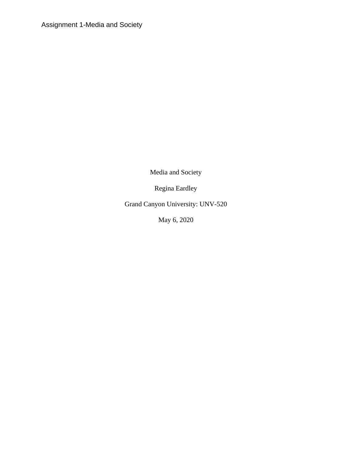Assignment 1-Media and Society

Media and Society

Regina Eardley

Grand Canyon University: UNV-520

May 6, 2020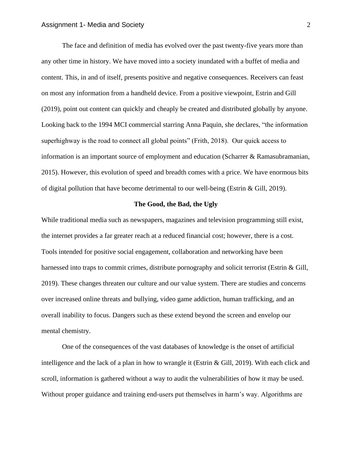The face and definition of media has evolved over the past twenty-five years more than any other time in history. We have moved into a society inundated with a buffet of media and content. This, in and of itself, presents positive and negative consequences. Receivers can feast on most any information from a handheld device. From a positive viewpoint, Estrin and Gill (2019), point out content can quickly and cheaply be created and distributed globally by anyone. Looking back to the 1994 MCI commercial starring Anna Paquin, she declares, "the information superhighway is the road to connect all global points" (Frith, 2018). Our quick access to information is an important source of employment and education (Scharrer & Ramasubramanian, 2015). However, this evolution of speed and breadth comes with a price. We have enormous bits of digital pollution that have become detrimental to our well-being (Estrin & Gill, 2019).

## **The Good, the Bad, the Ugly**

While traditional media such as newspapers, magazines and television programming still exist, the internet provides a far greater reach at a reduced financial cost; however, there is a cost. Tools intended for positive social engagement, collaboration and networking have been harnessed into traps to commit crimes, distribute pornography and solicit terrorist (Estrin & Gill, 2019). These changes threaten our culture and our value system. There are studies and concerns over increased online threats and bullying, video game addiction, human trafficking, and an overall inability to focus. Dangers such as these extend beyond the screen and envelop our mental chemistry.

One of the consequences of the vast databases of knowledge is the onset of artificial intelligence and the lack of a plan in how to wrangle it (Estrin & Gill, 2019). With each click and scroll, information is gathered without a way to audit the vulnerabilities of how it may be used. Without proper guidance and training end-users put themselves in harm's way. Algorithms are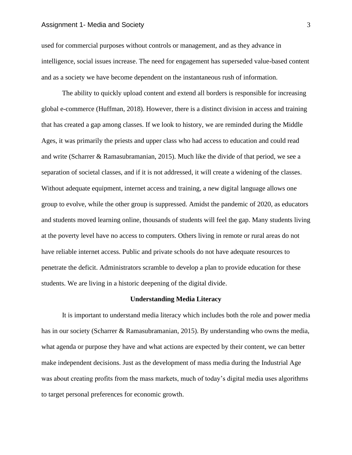## Assignment 1- Media and Society 3 3

used for commercial purposes without controls or management, and as they advance in intelligence, social issues increase. The need for engagement has superseded value-based content and as a society we have become dependent on the instantaneous rush of information.

The ability to quickly upload content and extend all borders is responsible for increasing global e-commerce (Huffman, 2018). However, there is a distinct division in access and training that has created a gap among classes. If we look to history, we are reminded during the Middle Ages, it was primarily the priests and upper class who had access to education and could read and write (Scharrer & Ramasubramanian, 2015). Much like the divide of that period, we see a separation of societal classes, and if it is not addressed, it will create a widening of the classes. Without adequate equipment, internet access and training, a new digital language allows one group to evolve, while the other group is suppressed. Amidst the pandemic of 2020, as educators and students moved learning online, thousands of students will feel the gap. Many students living at the poverty level have no access to computers. Others living in remote or rural areas do not have reliable internet access. Public and private schools do not have adequate resources to penetrate the deficit. Administrators scramble to develop a plan to provide education for these students. We are living in a historic deepening of the digital divide.

### **Understanding Media Literacy**

It is important to understand media literacy which includes both the role and power media has in our society (Scharrer & Ramasubramanian, 2015). By understanding who owns the media, what agenda or purpose they have and what actions are expected by their content, we can better make independent decisions. Just as the development of mass media during the Industrial Age was about creating profits from the mass markets, much of today's digital media uses algorithms to target personal preferences for economic growth.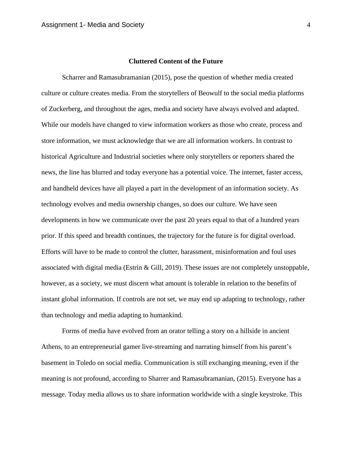### **Cluttered Content of the Future**

Scharrer and Ramasubramanian (2015), pose the question of whether media created culture or culture creates media. From the storytellers of Beowulf to the social media platforms of Zuckerberg, and throughout the ages, media and society have always evolved and adapted. While our models have changed to view information workers as those who create, process and store information, we must acknowledge that we are all information workers. In contrast to historical Agriculture and Industrial societies where only storytellers or reporters shared the news, the line has blurred and today everyone has a potential voice. The internet, faster access, and handheld devices have all played a part in the development of an information society. As technology evolves and media ownership changes, so does our culture. We have seen developments in how we communicate over the past 20 years equal to that of a hundred years prior. If this speed and breadth continues, the trajectory for the future is for digital overload. Efforts will have to be made to control the clutter, harassment, misinformation and foul uses associated with digital media (Estrin & Gill, 2019). These issues are not completely unstoppable, however, as a society, we must discern what amount is tolerable in relation to the benefits of instant global information. If controls are not set, we may end up adapting to technology, rather than technology and media adapting to humankind.

Forms of media have evolved from an orator telling a story on a hillside in ancient Athens, to an entrepreneurial gamer live-streaming and narrating himself from his parent's basement in Toledo on social media. Communication is still exchanging meaning, even if the meaning is not profound, according to Sharrer and Ramasubramanian, (2015). Everyone has a message. Today media allows us to share information worldwide with a single keystroke. This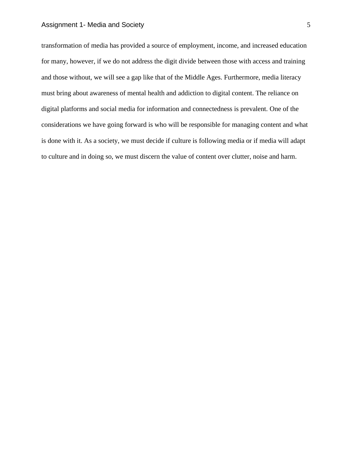# Assignment 1- Media and Society 5 5

transformation of media has provided a source of employment, income, and increased education for many, however, if we do not address the digit divide between those with access and training and those without, we will see a gap like that of the Middle Ages. Furthermore, media literacy must bring about awareness of mental health and addiction to digital content. The reliance on digital platforms and social media for information and connectedness is prevalent. One of the considerations we have going forward is who will be responsible for managing content and what is done with it. As a society, we must decide if culture is following media or if media will adapt to culture and in doing so, we must discern the value of content over clutter, noise and harm.